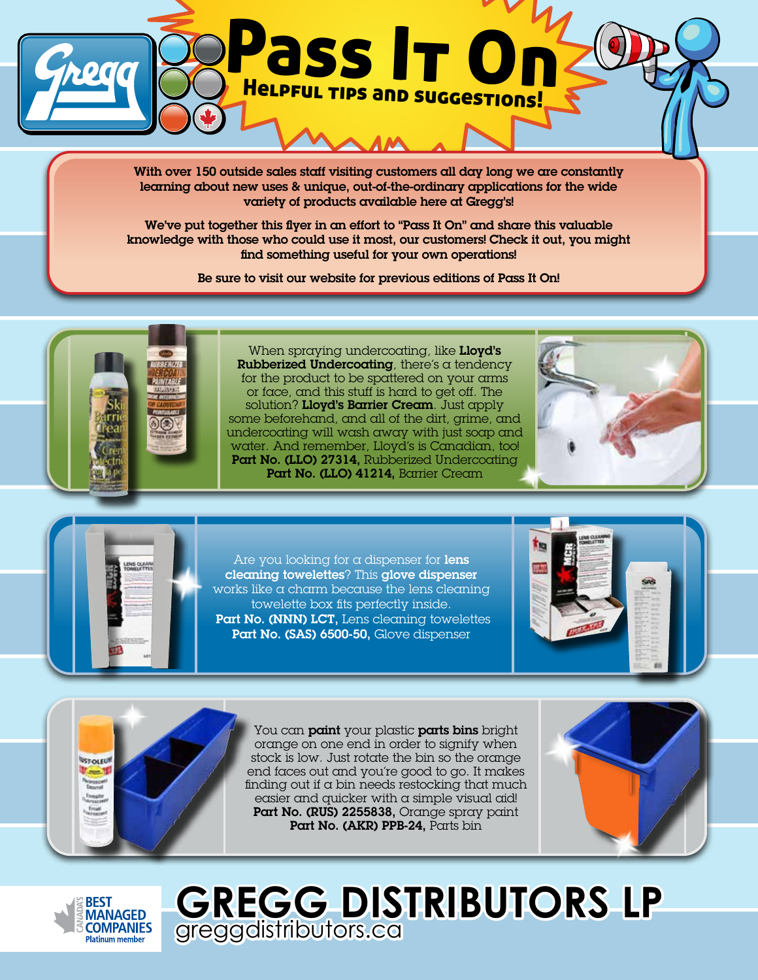

With over 150 outside sales staff visiting customers all day long we are constantly learning about new uses & unique, out-of-the-ordinary applications for the wide variety of products available here at Gregg's!

We've put together this flyer in an effort to "Pass It On" and share this valuable knowledge with those who could use it most, our customers! Check it out, you might find something useful for your own operations!

Be sure to visit our website for previous editions of Pass It On!





Are you looking for a dispenser for lens cleaning towelettes? This glove dispenser works like a charm because the lens cleaning towelette box fits perfectly inside. Part No. (NNN) LCT, Lens cleaning towelettes Part No. (SAS) 6500-50, Glove dispenser





You can **paint** your plastic **parts bins** bright orange on one end in order to signify when stock is low. Just rotate the bin so the orange end faces out and you're good to go. It makes finding out if  $\alpha$  bin needs restocking that much easier and quicker with a simple visual aid! Part No. (RUS) 2255838, Orange spray paint Part No. (AKR) PPB-24, Parts bin





**GREGG DISTRIBUTORS LP** greggdistributors.ca